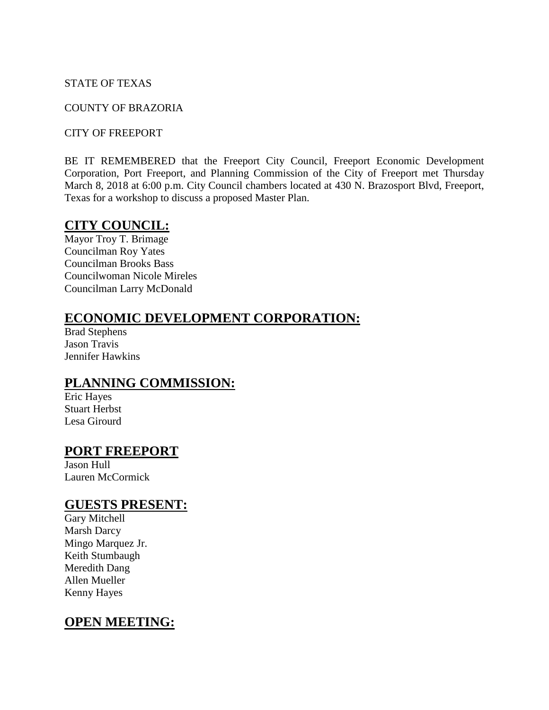#### STATE OF TEXAS

#### COUNTY OF BRAZORIA

#### CITY OF FREEPORT

BE IT REMEMBERED that the Freeport City Council, Freeport Economic Development Corporation, Port Freeport, and Planning Commission of the City of Freeport met Thursday March 8, 2018 at 6:00 p.m. City Council chambers located at 430 N. Brazosport Blvd, Freeport, Texas for a workshop to discuss a proposed Master Plan.

## **CITY COUNCIL:**

Mayor Troy T. Brimage Councilman Roy Yates Councilman Brooks Bass Councilwoman Nicole Mireles Councilman Larry McDonald

## **ECONOMIC DEVELOPMENT CORPORATION:**

Brad Stephens Jason Travis Jennifer Hawkins

## **PLANNING COMMISSION:**

Eric Hayes Stuart Herbst Lesa Girourd

## **PORT FREEPORT**

Jason Hull Lauren McCormick

#### **GUESTS PRESENT:**

Gary Mitchell Marsh Darcy Mingo Marquez Jr. Keith Stumbaugh Meredith Dang Allen Mueller Kenny Hayes

# **OPEN MEETING:**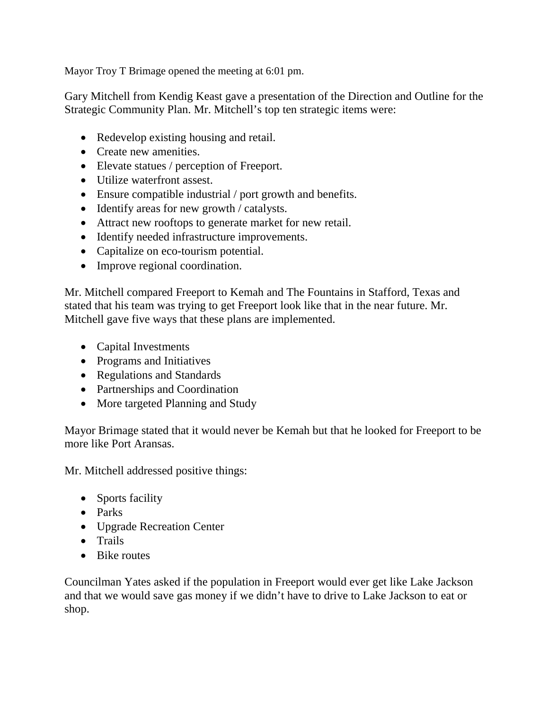Mayor Troy T Brimage opened the meeting at 6:01 pm.

Gary Mitchell from Kendig Keast gave a presentation of the Direction and Outline for the Strategic Community Plan. Mr. Mitchell's top ten strategic items were:

- Redevelop existing housing and retail.
- Create new amenities.
- Elevate statues / perception of Freeport.
- Utilize waterfront assest.
- Ensure compatible industrial / port growth and benefits.
- Identify areas for new growth / catalysts.
- Attract new rooftops to generate market for new retail.
- Identify needed infrastructure improvements.
- Capitalize on eco-tourism potential.
- Improve regional coordination.

Mr. Mitchell compared Freeport to Kemah and The Fountains in Stafford, Texas and stated that his team was trying to get Freeport look like that in the near future. Mr. Mitchell gave five ways that these plans are implemented.

- Capital Investments
- Programs and Initiatives
- Regulations and Standards
- Partnerships and Coordination
- More targeted Planning and Study

Mayor Brimage stated that it would never be Kemah but that he looked for Freeport to be more like Port Aransas.

Mr. Mitchell addressed positive things:

- Sports facility
- Parks
- Upgrade Recreation Center
- Trails
- Bike routes

Councilman Yates asked if the population in Freeport would ever get like Lake Jackson and that we would save gas money if we didn't have to drive to Lake Jackson to eat or shop.